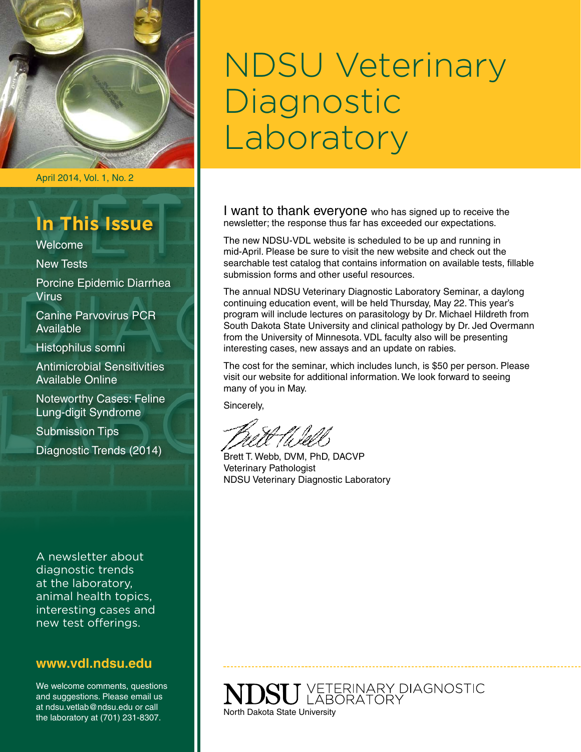

April 2014, Vol. 1, No. 2

### **In This Issue**

Welcome

New Tests

Porcine Epidemic Diarrhea **Virus** 

Canine Parvovirus PCR Available

Histophilus somni

Antimicrobial Sensitivities Available Online

Noteworthy Cases: Feline Lung-digit Syndrome

Submission Tips Diagnostic Trends (2014)

A newsletter about diagnostic trends at the laboratory, animal health topics, interesting cases and new test offerings.

#### **www.vdl.ndsu.edu**

We welcome comments, questions and suggestions. Please email us at ndsu.vetlab@ndsu.edu or call the laboratory at (701) 231-8307.

# NDSU Veterinary Diagnostic Laboratory

I want to thank everyone who has signed up to receive the newsletter; the response thus far has exceeded our expectations.

The new NDSU-VDL website is scheduled to be up and running in mid-April. Please be sure to visit the new website and check out the searchable test catalog that contains information on available tests, fillable submission forms and other useful resources.

The annual NDSU Veterinary Diagnostic Laboratory Seminar, a daylong continuing education event, will be held Thursday, May 22. This year's program will include lectures on parasitology by Dr. Michael Hildreth from South Dakota State University and clinical pathology by Dr. Jed Overmann from the University of Minnesota. VDL faculty also will be presenting interesting cases, new assays and an update on rabies.

The cost for the seminar, which includes lunch, is \$50 per person. Please visit our [website](http://www.vdl.ndsu.edu) for additional information. We look forward to seeing many of you in May.

Sincerely,

Brett T. Webb, DVM, PhD, DACVP Veterinary Pathologist NDSU Veterinary Diagnostic Laboratory

**SU** VETERINARY DIAGNOSTIC North Dakota State University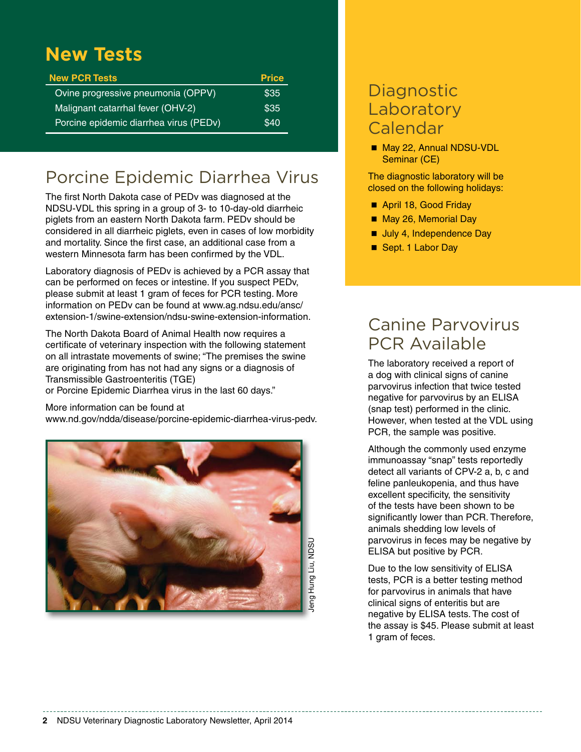### **New Tests**

| <b>New PCR Tests</b>                   | <b>Price</b> |
|----------------------------------------|--------------|
| Ovine progressive pneumonia (OPPV)     | \$35         |
| Malignant catarrhal fever (OHV-2)      | \$35         |
| Porcine epidemic diarrhea virus (PEDv) | \$40         |

### Porcine Epidemic Diarrhea Virus

The first North Dakota case of PEDv was diagnosed at the NDSU-VDL this spring in a group of 3- to 10-day-old diarrheic piglets from an eastern North Dakota farm. PEDv should be considered in all diarrheic piglets, even in cases of low morbidity and mortality. Since the first case, an additional case from a western Minnesota farm has been confirmed by the VDL.

Laboratory diagnosis of PEDv is achieved by a PCR assay that can be performed on feces or intestine. If you suspect PEDv, please submit at least 1 gram of feces for PCR testing. More information on PEDv can be found at www.ag.ndsu.edu/ansc/ extension-1/swine-extension/ndsu-swine-extension-information.

The North Dakota Board of Animal Health now requires a certificate of veterinary inspection with the following statement on all intrastate movements of swine; "The premises the swine are originating from has not had any signs or a diagnosis of Transmissible Gastroenteritis (TGE)

or Porcine Epidemic Diarrhea virus in the last 60 days."

#### More information can be found at

[www.nd.gov/ndda/disease/porcine-epidemic-diarrhea-virus-pedv.](http://www.nd.gov/ndda/disease/porcine-epidemic-diarrhea-virus-pedv)



### **Diagnostic** Laboratory Calendar

■ May 22, Annual NDSU-VDL Seminar (CE)

The diagnostic laboratory will be closed on the following holidays:

- April 18, Good Friday
- May 26, Memorial Day
- Uuly 4, Independence Day
- Sept. 1 Labor Day

### Canine Parvovirus PCR Available

The laboratory received a report of a dog with clinical signs of canine parvovirus infection that twice tested negative for parvovirus by an ELISA (snap test) performed in the clinic. However, when tested at the VDL using PCR, the sample was positive.

Although the commonly used enzyme immunoassay "snap" tests reportedly detect all variants of CPV-2 a, b, c and feline panleukopenia, and thus have excellent specificity, the sensitivity of the tests have been shown to be significantly lower than PCR. Therefore, animals shedding low levels of parvovirus in feces may be negative by ELISA but positive by PCR.

Due to the low sensitivity of ELISA tests, PCR is a better testing method for parvovirus in animals that have clinical signs of enteritis but are negative by ELISA tests. The cost of the assay is \$45. Please submit at least 1 gram of feces.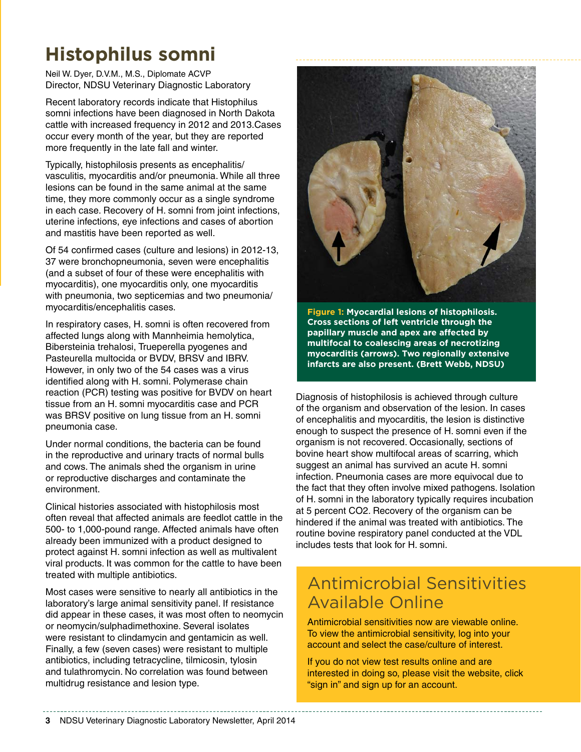## **Histophilus somni**

Neil W. Dyer, D.V.M., M.S., Diplomate ACVP Director, NDSU Veterinary Diagnostic Laboratory

Recent laboratory records indicate that Histophilus somni infections have been diagnosed in North Dakota cattle with increased frequency in 2012 and 2013.Cases occur every month of the year, but they are reported more frequently in the late fall and winter.

Typically, histophilosis presents as encephalitis/ vasculitis, myocarditis and/or pneumonia. While all three lesions can be found in the same animal at the same time, they more commonly occur as a single syndrome in each case. Recovery of H. somni from joint infections, uterine infections, eye infections and cases of abortion and mastitis have been reported as well.

Of 54 confirmed cases (culture and lesions) in 2012-13, 37 were bronchopneumonia, seven were encephalitis (and a subset of four of these were encephalitis with myocarditis), one myocarditis only, one myocarditis with pneumonia, two septicemias and two pneumonia/ myocarditis/encephalitis cases.

In respiratory cases, H. somni is often recovered from affected lungs along with Mannheimia hemolytica, Bibersteinia trehalosi, Trueperella pyogenes and Pasteurella multocida or BVDV, BRSV and IBRV. However, in only two of the 54 cases was a virus identified along with H. somni. Polymerase chain reaction (PCR) testing was positive for BVDV on heart tissue from an H. somni myocarditis case and PCR was BRSV positive on lung tissue from an H. somni pneumonia case.

Under normal conditions, the bacteria can be found in the reproductive and urinary tracts of normal bulls and cows. The animals shed the organism in urine or reproductive discharges and contaminate the environment.

Clinical histories associated with histophilosis most often reveal that affected animals are feedlot cattle in the 500- to 1,000-pound range. Affected animals have often already been immunized with a product designed to protect against H. somni infection as well as multivalent viral products. It was common for the cattle to have been treated with multiple antibiotics.

Most cases were sensitive to nearly all antibiotics in the laboratory's large animal sensitivity panel. If resistance did appear in these cases, it was most often to neomycin or neomycin/sulphadimethoxine. Several isolates were resistant to clindamycin and gentamicin as well. Finally, a few (seven cases) were resistant to multiple antibiotics, including tetracycline, tilmicosin, tylosin and tulathromycin. No correlation was found between multidrug resistance and lesion type.



**Figure 1: Myocardial lesions of histophilosis. Cross sections of left ventricle through the papillary muscle and apex are affected by multifocal to coalescing areas of necrotizing myocarditis (arrows). Two regionally extensive infarcts are also present. (Brett Webb, NDSU)**

Diagnosis of histophilosis is achieved through culture of the organism and observation of the lesion. In cases of encephalitis and myocarditis, the lesion is distinctive enough to suspect the presence of H. somni even if the organism is not recovered. Occasionally, sections of bovine heart show multifocal areas of scarring, which suggest an animal has survived an acute H. somni infection. Pneumonia cases are more equivocal due to the fact that they often involve mixed pathogens. Isolation of H. somni in the laboratory typically requires incubation at 5 percent CO2. Recovery of the organism can be hindered if the animal was treated with antibiotics. The routine bovine respiratory panel conducted at the VDL includes tests that look for H. somni.

### Antimicrobial Sensitivities Available Online

Antimicrobial sensitivities now are viewable online. To view the antimicrobial sensitivity, log into your account and select the case/culture of interest.

If you do not view test results online and are interested in doing so, please visit the [website,](http://www.vdl.ndsu.edu) click "sign in" and sign up for an account.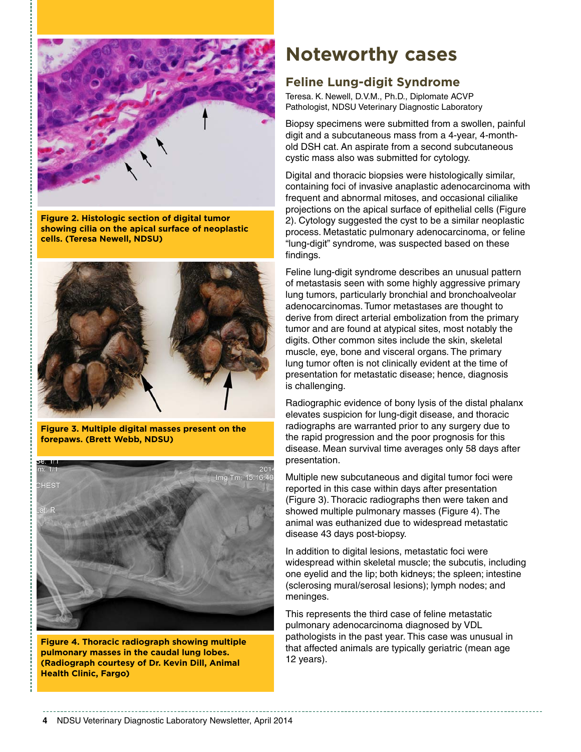

**Figure 2. Histologic section of digital tumor showing cilia on the apical surface of neoplastic cells. (Teresa Newell, NDSU)**



**Figure 3. Multiple digital masses present on the forepaws. (Brett Webb, NDSU)**



**Figure 4. Thoracic radiograph showing multiple pulmonary masses in the caudal lung lobes. (Radiograph courtesy of Dr. Kevin Dill, Animal Health Clinic, Fargo)**

### **Noteworthy cases**

#### **Feline Lung-digit Syndrome**

Teresa. K. Newell, D.V.M., Ph.D., Diplomate ACVP Pathologist, NDSU Veterinary Diagnostic Laboratory

Biopsy specimens were submitted from a swollen, painful digit and a subcutaneous mass from a 4-year, 4-monthold DSH cat. An aspirate from a second subcutaneous cystic mass also was submitted for cytology.

Digital and thoracic biopsies were histologically similar, containing foci of invasive anaplastic adenocarcinoma with frequent and abnormal mitoses, and occasional cilialike projections on the apical surface of epithelial cells (Figure 2). Cytology suggested the cyst to be a similar neoplastic process. Metastatic pulmonary adenocarcinoma, or feline "lung-digit" syndrome, was suspected based on these findings.

Feline lung-digit syndrome describes an unusual pattern of metastasis seen with some highly aggressive primary lung tumors, particularly bronchial and bronchoalveolar adenocarcinomas. Tumor metastases are thought to derive from direct arterial embolization from the primary tumor and are found at atypical sites, most notably the digits. Other common sites include the skin, skeletal muscle, eye, bone and visceral organs. The primary lung tumor often is not clinically evident at the time of presentation for metastatic disease; hence, diagnosis is challenging.

Radiographic evidence of bony lysis of the distal phalanx elevates suspicion for lung-digit disease, and thoracic radiographs are warranted prior to any surgery due to the rapid progression and the poor prognosis for this disease. Mean survival time averages only 58 days after presentation.

Multiple new subcutaneous and digital tumor foci were reported in this case within days after presentation (Figure 3). Thoracic radiographs then were taken and showed multiple pulmonary masses (Figure 4). The animal was euthanized due to widespread metastatic disease 43 days post-biopsy.

In addition to digital lesions, metastatic foci were widespread within skeletal muscle; the subcutis, including one eyelid and the lip; both kidneys; the spleen; intestine (sclerosing mural/serosal lesions); lymph nodes; and meninges.

This represents the third case of feline metastatic pulmonary adenocarcinoma diagnosed by VDL pathologists in the past year. This case was unusual in that affected animals are typically geriatric (mean age 12 years).